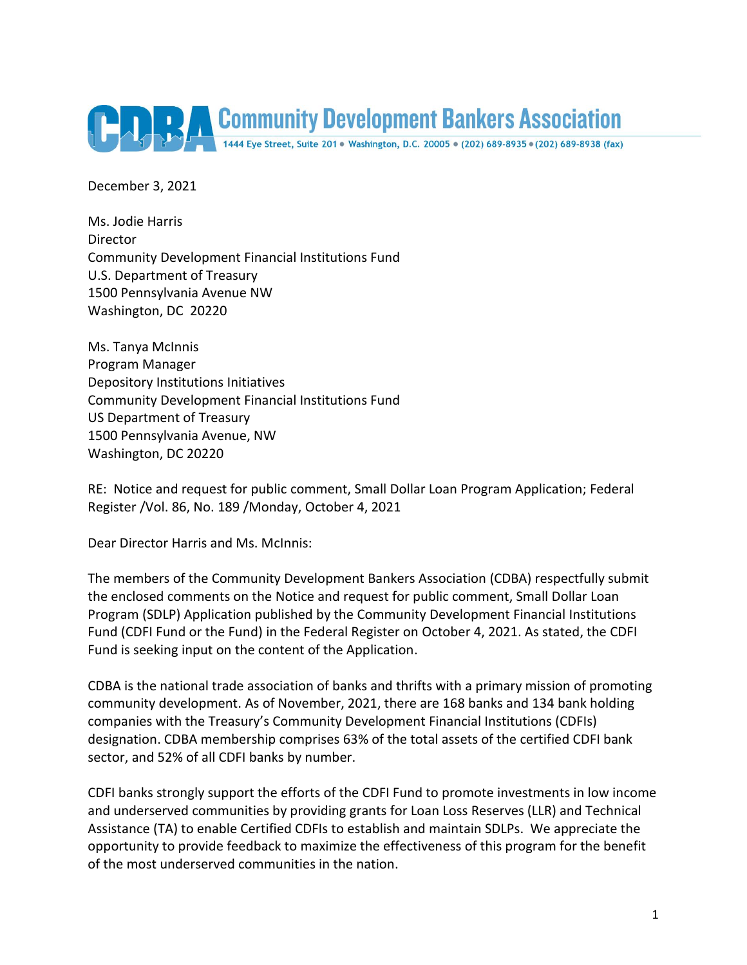

December 3, 2021

Ms. Jodie Harris **Director** Community Development Financial Institutions Fund U.S. Department of Treasury 1500 Pennsylvania Avenue NW Washington, DC 20220

Ms. Tanya McInnis Program Manager Depository Institutions Initiatives Community Development Financial Institutions Fund US Department of Treasury 1500 Pennsylvania Avenue, NW Washington, DC 20220

RE: Notice and request for public comment, Small Dollar Loan Program Application; Federal Register /Vol. 86, No. 189 /Monday, October 4, 2021

Dear Director Harris and Ms. McInnis:

The members of the Community Development Bankers Association (CDBA) respectfully submit the enclosed comments on the Notice and request for public comment, Small Dollar Loan Program (SDLP) Application published by the Community Development Financial Institutions Fund (CDFI Fund or the Fund) in the Federal Register on October 4, 2021. As stated, the CDFI Fund is seeking input on the content of the Application.

CDBA is the national trade association of banks and thrifts with a primary mission of promoting community development. As of November, 2021, there are 168 banks and 134 bank holding companies with the Treasury's Community Development Financial Institutions (CDFIs) designation. CDBA membership comprises 63% of the total assets of the certified CDFI bank sector, and 52% of all CDFI banks by number.

CDFI banks strongly support the efforts of the CDFI Fund to promote investments in low income and underserved communities by providing grants for Loan Loss Reserves (LLR) and Technical Assistance (TA) to enable Certified CDFIs to establish and maintain SDLPs. We appreciate the opportunity to provide feedback to maximize the effectiveness of this program for the benefit of the most underserved communities in the nation.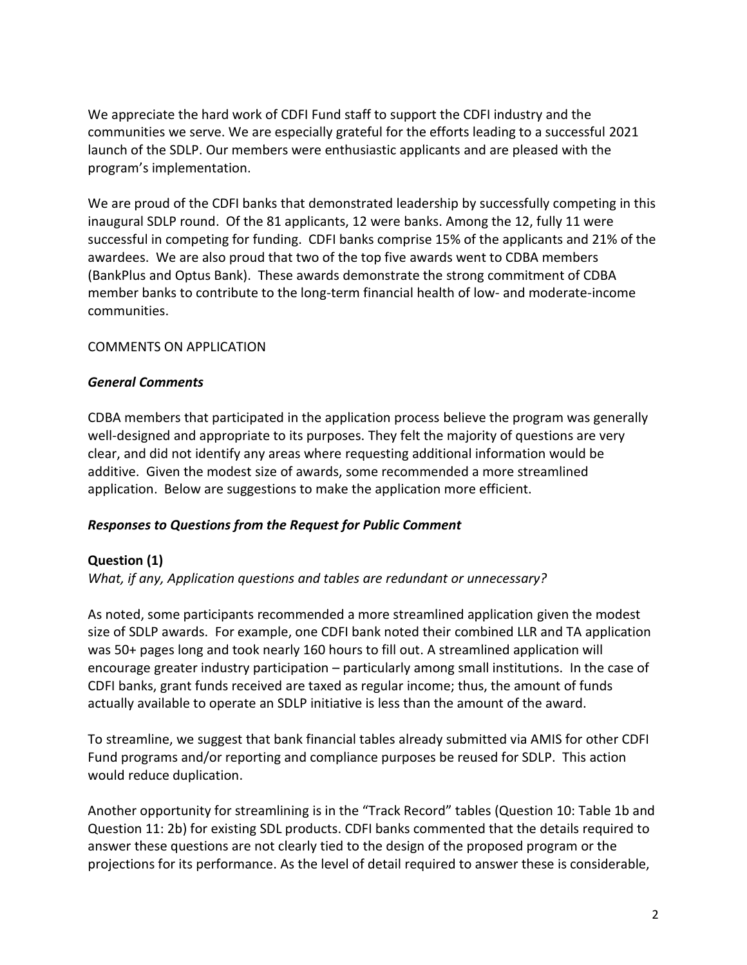We appreciate the hard work of CDFI Fund staff to support the CDFI industry and the communities we serve. We are especially grateful for the efforts leading to a successful 2021 launch of the SDLP. Our members were enthusiastic applicants and are pleased with the program's implementation.

We are proud of the CDFI banks that demonstrated leadership by successfully competing in this inaugural SDLP round. Of the 81 applicants, 12 were banks. Among the 12, fully 11 were successful in competing for funding. CDFI banks comprise 15% of the applicants and 21% of the awardees. We are also proud that two of the top five awards went to CDBA members (BankPlus and Optus Bank). These awards demonstrate the strong commitment of CDBA member banks to contribute to the long-term financial health of low- and moderate-income communities.

#### COMMENTS ON APPLICATION

#### *General Comments*

CDBA members that participated in the application process believe the program was generally well-designed and appropriate to its purposes. They felt the majority of questions are very clear, and did not identify any areas where requesting additional information would be additive. Given the modest size of awards, some recommended a more streamlined application. Below are suggestions to make the application more efficient.

## *Responses to Questions from the Request for Public Comment*

## **Question (1)**

*What, if any, Application questions and tables are redundant or unnecessary?*

As noted, some participants recommended a more streamlined application given the modest size of SDLP awards. For example, one CDFI bank noted their combined LLR and TA application was 50+ pages long and took nearly 160 hours to fill out. A streamlined application will encourage greater industry participation – particularly among small institutions. In the case of CDFI banks, grant funds received are taxed as regular income; thus, the amount of funds actually available to operate an SDLP initiative is less than the amount of the award.

To streamline, we suggest that bank financial tables already submitted via AMIS for other CDFI Fund programs and/or reporting and compliance purposes be reused for SDLP. This action would reduce duplication.

Another opportunity for streamlining is in the "Track Record" tables (Question 10: Table 1b and Question 11: 2b) for existing SDL products. CDFI banks commented that the details required to answer these questions are not clearly tied to the design of the proposed program or the projections for its performance. As the level of detail required to answer these is considerable,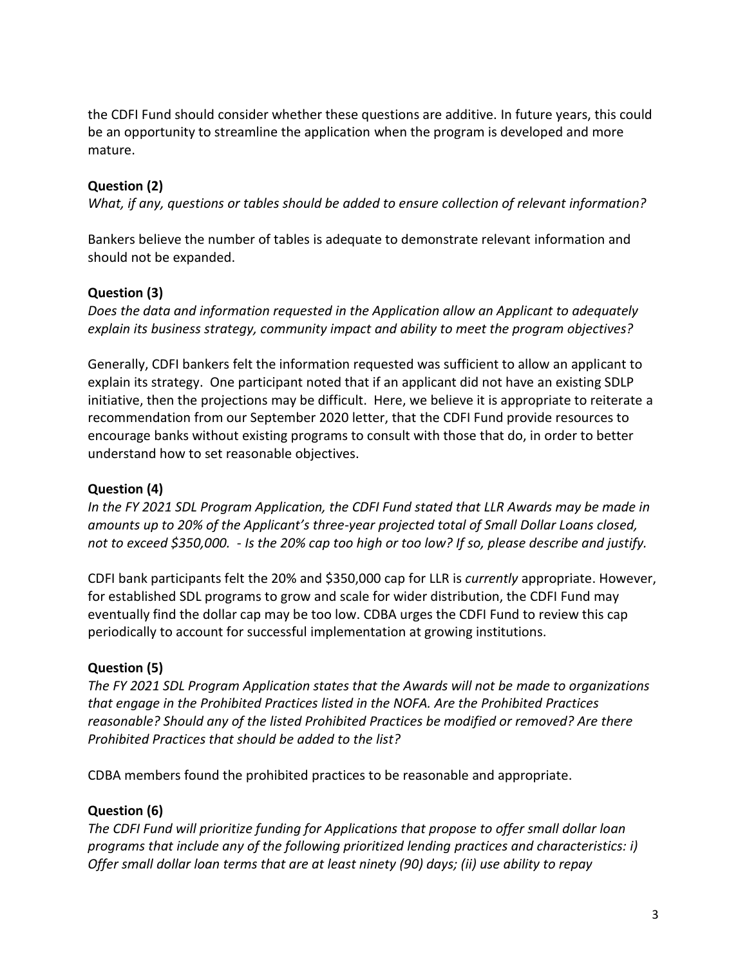the CDFI Fund should consider whether these questions are additive. In future years, this could be an opportunity to streamline the application when the program is developed and more mature.

# **Question (2)**

*What, if any, questions or tables should be added to ensure collection of relevant information?*

Bankers believe the number of tables is adequate to demonstrate relevant information and should not be expanded.

## **Question (3)**

*Does the data and information requested in the Application allow an Applicant to adequately explain its business strategy, community impact and ability to meet the program objectives?*

Generally, CDFI bankers felt the information requested was sufficient to allow an applicant to explain its strategy. One participant noted that if an applicant did not have an existing SDLP initiative, then the projections may be difficult. Here, we believe it is appropriate to reiterate a recommendation from our September 2020 letter, that the CDFI Fund provide resources to encourage banks without existing programs to consult with those that do, in order to better understand how to set reasonable objectives.

## **Question (4)**

*In the FY 2021 SDL Program Application, the CDFI Fund stated that LLR Awards may be made in amounts up to 20% of the Applicant's three-year projected total of Small Dollar Loans closed, not to exceed \$350,000. - Is the 20% cap too high or too low? If so, please describe and justify.*

CDFI bank participants felt the 20% and \$350,000 cap for LLR is *currently* appropriate. However, for established SDL programs to grow and scale for wider distribution, the CDFI Fund may eventually find the dollar cap may be too low. CDBA urges the CDFI Fund to review this cap periodically to account for successful implementation at growing institutions.

## **Question (5)**

*The FY 2021 SDL Program Application states that the Awards will not be made to organizations that engage in the Prohibited Practices listed in the NOFA. Are the Prohibited Practices reasonable? Should any of the listed Prohibited Practices be modified or removed? Are there Prohibited Practices that should be added to the list?*

CDBA members found the prohibited practices to be reasonable and appropriate.

## **Question (6)**

*The CDFI Fund will prioritize funding for Applications that propose to offer small dollar loan programs that include any of the following prioritized lending practices and characteristics: i) Offer small dollar loan terms that are at least ninety (90) days; (ii) use ability to repay*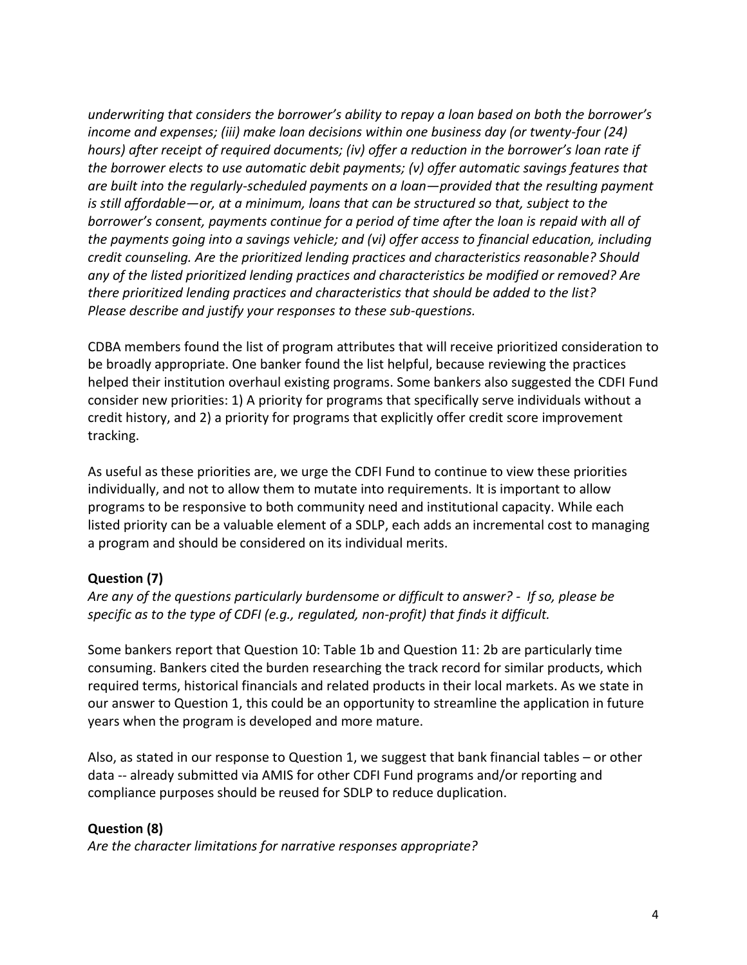*underwriting that considers the borrower's ability to repay a loan based on both the borrower's income and expenses; (iii) make loan decisions within one business day (or twenty-four (24) hours) after receipt of required documents; (iv) offer a reduction in the borrower's loan rate if the borrower elects to use automatic debit payments; (v) offer automatic savings features that are built into the regularly-scheduled payments on a loan—provided that the resulting payment is still affordable—or, at a minimum, loans that can be structured so that, subject to the*  borrower's consent, payments continue for a period of time after the loan is repaid with all of *the payments going into a savings vehicle; and (vi) offer access to financial education, including credit counseling. Are the prioritized lending practices and characteristics reasonable? Should any of the listed prioritized lending practices and characteristics be modified or removed? Are there prioritized lending practices and characteristics that should be added to the list? Please describe and justify your responses to these sub-questions.*

CDBA members found the list of program attributes that will receive prioritized consideration to be broadly appropriate. One banker found the list helpful, because reviewing the practices helped their institution overhaul existing programs. Some bankers also suggested the CDFI Fund consider new priorities: 1) A priority for programs that specifically serve individuals without a credit history, and 2) a priority for programs that explicitly offer credit score improvement tracking.

As useful as these priorities are, we urge the CDFI Fund to continue to view these priorities individually, and not to allow them to mutate into requirements. It is important to allow programs to be responsive to both community need and institutional capacity. While each listed priority can be a valuable element of a SDLP, each adds an incremental cost to managing a program and should be considered on its individual merits.

# **Question (7)**

*Are any of the questions particularly burdensome or difficult to answer? - If so, please be specific as to the type of CDFI (e.g., regulated, non-profit) that finds it difficult.*

Some bankers report that Question 10: Table 1b and Question 11: 2b are particularly time consuming. Bankers cited the burden researching the track record for similar products, which required terms, historical financials and related products in their local markets. As we state in our answer to Question 1, this could be an opportunity to streamline the application in future years when the program is developed and more mature.

Also, as stated in our response to Question 1, we suggest that bank financial tables – or other data -- already submitted via AMIS for other CDFI Fund programs and/or reporting and compliance purposes should be reused for SDLP to reduce duplication.

## **Question (8)**

*Are the character limitations for narrative responses appropriate?*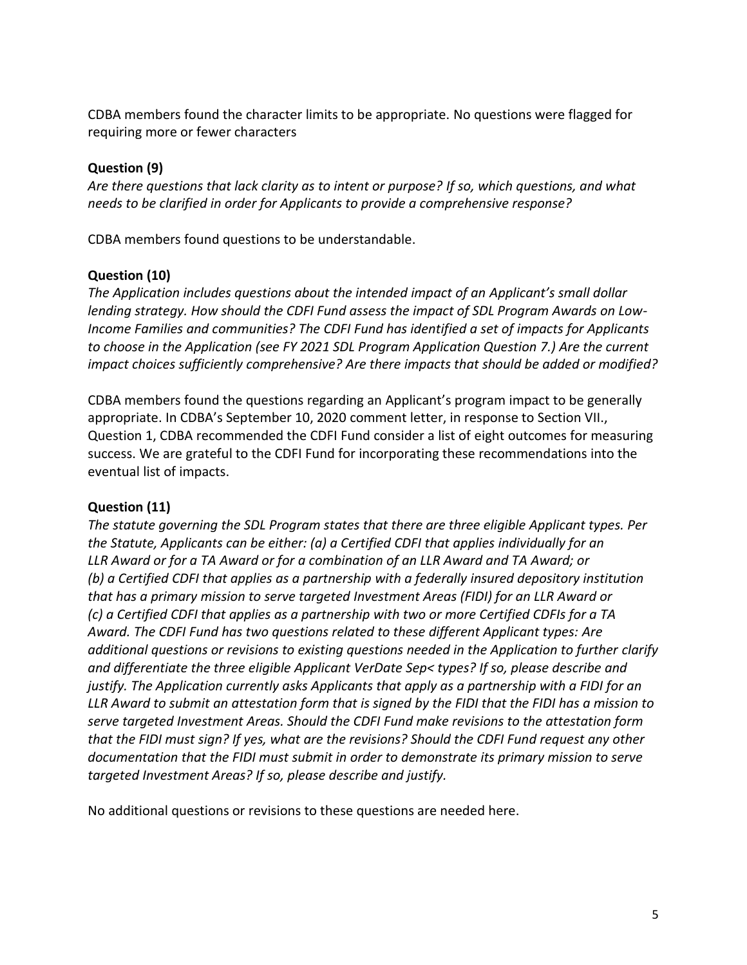CDBA members found the character limits to be appropriate. No questions were flagged for requiring more or fewer characters

# **Question (9)**

*Are there questions that lack clarity as to intent or purpose? If so, which questions, and what needs to be clarified in order for Applicants to provide a comprehensive response?*

CDBA members found questions to be understandable.

## **Question (10)**

*The Application includes questions about the intended impact of an Applicant's small dollar lending strategy. How should the CDFI Fund assess the impact of SDL Program Awards on Low-Income Families and communities? The CDFI Fund has identified a set of impacts for Applicants to choose in the Application (see FY 2021 SDL Program Application Question 7.) Are the current impact choices sufficiently comprehensive? Are there impacts that should be added or modified?*

CDBA members found the questions regarding an Applicant's program impact to be generally appropriate. In CDBA's September 10, 2020 comment letter, in response to Section VII., Question 1, CDBA recommended the CDFI Fund consider a list of eight outcomes for measuring success. We are grateful to the CDFI Fund for incorporating these recommendations into the eventual list of impacts.

## **Question (11)**

*The statute governing the SDL Program states that there are three eligible Applicant types. Per the Statute, Applicants can be either: (a) a Certified CDFI that applies individually for an LLR Award or for a TA Award or for a combination of an LLR Award and TA Award; or (b) a Certified CDFI that applies as a partnership with a federally insured depository institution that has a primary mission to serve targeted Investment Areas (FIDI) for an LLR Award or (c) a Certified CDFI that applies as a partnership with two or more Certified CDFIs for a TA Award. The CDFI Fund has two questions related to these different Applicant types: Are additional questions or revisions to existing questions needed in the Application to further clarify and differentiate the three eligible Applicant VerDate Sep< types? If so, please describe and justify. The Application currently asks Applicants that apply as a partnership with a FIDI for an LLR Award to submit an attestation form that is signed by the FIDI that the FIDI has a mission to serve targeted Investment Areas. Should the CDFI Fund make revisions to the attestation form that the FIDI must sign? If yes, what are the revisions? Should the CDFI Fund request any other documentation that the FIDI must submit in order to demonstrate its primary mission to serve targeted Investment Areas? If so, please describe and justify.*

No additional questions or revisions to these questions are needed here.